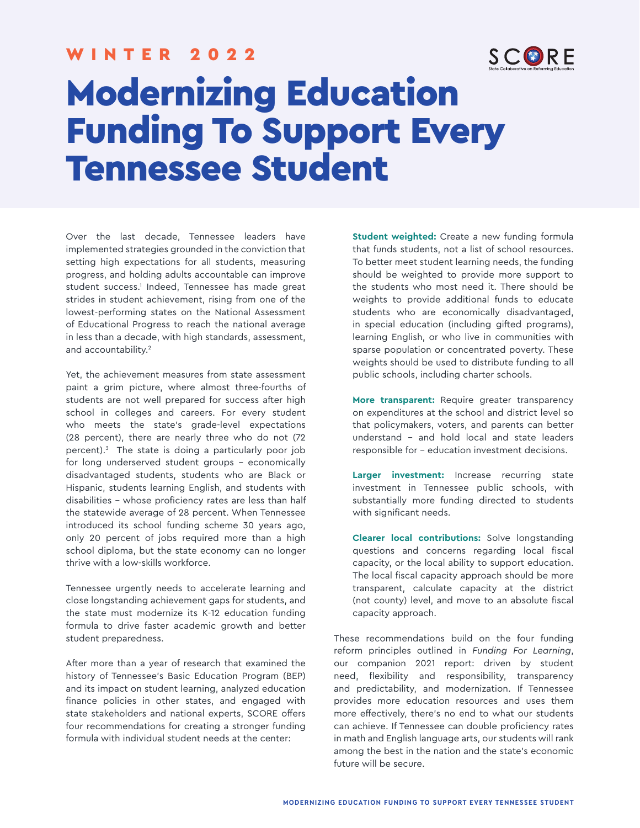#### WINTER 2022



# Modernizing Education Funding To Support Every Tennessee Student

Over the last decade, Tennessee leaders have implemented strategies grounded in the conviction that setting high expectations for all students, measuring progress, and holding adults accountable can improve student success.<sup>1</sup> Indeed, Tennessee has made great strides in student achievement, rising from one of the lowest-performing states on the National Assessment of Educational Progress to reach the national average in less than a decade, with high standards, assessment, and accountability.<sup>2</sup>

Yet, the achievement measures from state assessment paint a grim picture, where almost three-fourths of students are not well prepared for success after high school in colleges and careers. For every student who meets the state's grade-level expectations (28 percent), there are nearly three who do not (72 percent).3 The state is doing a particularly poor job for long underserved student groups – economically disadvantaged students, students who are Black or Hispanic, students learning English, and students with disabilities – whose proficiency rates are less than half the statewide average of 28 percent. When Tennessee introduced its school funding scheme 30 years ago, only 20 percent of jobs required more than a high school diploma, but the state economy can no longer thrive with a low-skills workforce.

Tennessee urgently needs to accelerate learning and close longstanding achievement gaps for students, and the state must modernize its K-12 education funding formula to drive faster academic growth and better student preparedness.

After more than a year of research that examined the history of Tennessee's Basic Education Program (BEP) and its impact on student learning, analyzed education finance policies in other states, and engaged with state stakeholders and national experts, SCORE offers four recommendations for creating a stronger funding formula with individual student needs at the center:

**Student weighted:** Create a new funding formula that funds students, not a list of school resources. To better meet student learning needs, the funding should be weighted to provide more support to the students who most need it. There should be weights to provide additional funds to educate students who are economically disadvantaged, in special education (including gifted programs), learning English, or who live in communities with sparse population or concentrated poverty. These weights should be used to distribute funding to all public schools, including charter schools.

**More transparent:** Require greater transparency on expenditures at the school and district level so that policymakers, voters, and parents can better understand – and hold local and state leaders responsible for – education investment decisions.

**Larger investment:** Increase recurring state investment in Tennessee public schools, with substantially more funding directed to students with significant needs.

**Clearer local contributions:** Solve longstanding questions and concerns regarding local fiscal capacity, or the local ability to support education. The local fiscal capacity approach should be more transparent, calculate capacity at the district (not county) level, and move to an absolute fiscal capacity approach.

These recommendations build on the four funding reform principles outlined in *Funding For Learning*, our companion 2021 report: driven by student need, flexibility and responsibility, transparency and predictability, and modernization. If Tennessee provides more education resources and uses them more effectively, there's no end to what our students can achieve. If Tennessee can double proficiency rates in math and English language arts, our students will rank among the best in the nation and the state's economic future will be secure.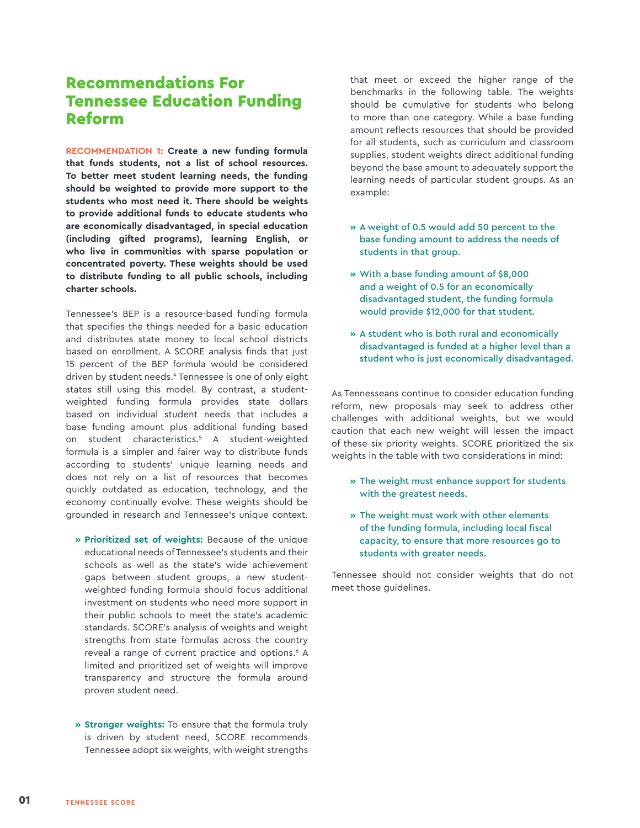## Recommendations For Tennessee Education Funding Reform

**RECOMMENDATION 1: Create a new funding formula that funds students, not a list of school resources. To better meet student learning needs, the funding should be weighted to provide more support to the students who most need it. There should be weights to provide additional funds to educate students who are economically disadvantaged, in special education (including gifted programs), learning English, or who live in communities with sparse population or concentrated poverty. These weights should be used to distribute funding to all public schools, including charter schools.**

Tennessee's BEP is a resource-based funding formula that specifies the things needed for a basic education and distributes state money to local school districts based on enrollment. A SCORE analysis finds that just 15 percent of the BEP formula would be considered driven by student needs.4 Tennessee is one of only eight states still using this model. By contrast, a studentweighted funding formula provides state dollars based on individual student needs that includes a base funding amount plus additional funding based on student characteristics.5 A student-weighted formula is a simpler and fairer way to distribute funds according to students' unique learning needs and does not rely on a list of resources that becomes quickly outdated as education, technology, and the economy continually evolve. These weights should be grounded in research and Tennessee's unique context.

- **» Prioritized set of weights:** Because of the unique educational needs of Tennessee's students and their schools as well as the state's wide achievement gaps between student groups, a new studentweighted funding formula should focus additional investment on students who need more support in their public schools to meet the state's academic standards. SCORE's analysis of weights and weight strengths from state formulas across the country reveal a range of current practice and options.<sup>6</sup> A limited and prioritized set of weights will improve transparency and structure the formula around proven student need.
- **» Stronger weights:** To ensure that the formula truly is driven by student need, SCORE recommends Tennessee adopt six weights, with weight strengths

that meet or exceed the higher range of the benchmarks in the following table. The weights should be cumulative for students who belong to more than one category. While a base funding amount reflects resources that should be provided for all students, such as curriculum and classroom supplies, student weights direct additional funding beyond the base amount to adequately support the learning needs of particular student groups. As an example:

- **»** A weight of 0.5 would add 50 percent to the base funding amount to address the needs of students in that group.
- **»** With a base funding amount of \$8,000 and a weight of 0.5 for an economically disadvantaged student, the funding formula would provide \$12,000 for that student.
- **»** A student who is both rural and economically disadvantaged is funded at a higher level than a student who is just economically disadvantaged.

As Tennesseans continue to consider education funding reform, new proposals may seek to address other challenges with additional weights, but we would caution that each new weight will lessen the impact of these six priority weights. SCORE prioritized the six weights in the table with two considerations in mind:

- **»** The weight must enhance support for students with the greatest needs.
- **»** The weight must work with other elements of the funding formula, including local fiscal capacity, to ensure that more resources go to students with greater needs.

Tennessee should not consider weights that do not meet those guidelines.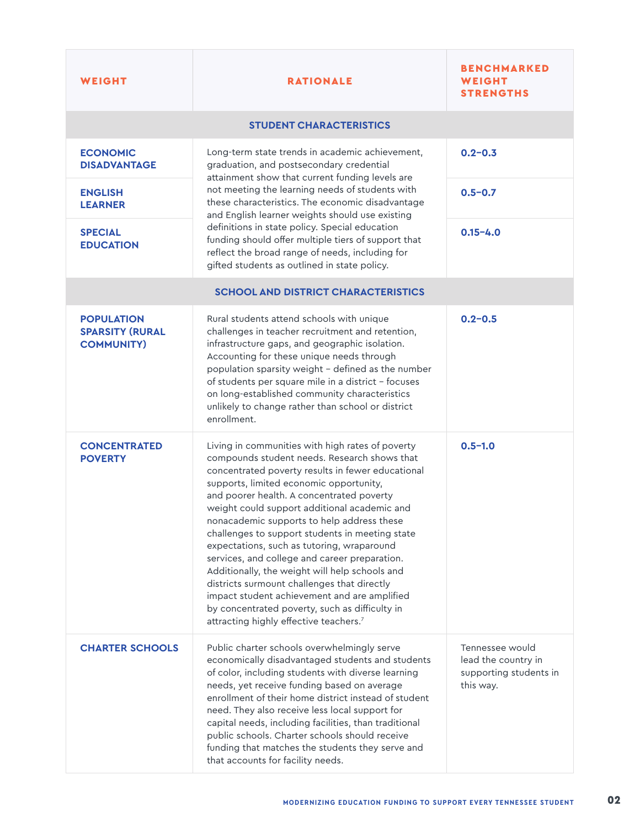| WEIGHT                                                           | <b>RATIONALE</b>                                                                                                                                                                                                                                                                                                                                                                                                                                                                                                                                                                                                                                                                                                                                       | <b>BENCHMARKED</b><br>WEIGHT<br><b>STRENGTHS</b>                              |
|------------------------------------------------------------------|--------------------------------------------------------------------------------------------------------------------------------------------------------------------------------------------------------------------------------------------------------------------------------------------------------------------------------------------------------------------------------------------------------------------------------------------------------------------------------------------------------------------------------------------------------------------------------------------------------------------------------------------------------------------------------------------------------------------------------------------------------|-------------------------------------------------------------------------------|
| <b>STUDENT CHARACTERISTICS</b>                                   |                                                                                                                                                                                                                                                                                                                                                                                                                                                                                                                                                                                                                                                                                                                                                        |                                                                               |
| <b>ECONOMIC</b><br><b>DISADVANTAGE</b>                           | Long-term state trends in academic achievement,<br>graduation, and postsecondary credential<br>attainment show that current funding levels are<br>not meeting the learning needs of students with<br>these characteristics. The economic disadvantage<br>and English learner weights should use existing<br>definitions in state policy. Special education<br>funding should offer multiple tiers of support that<br>reflect the broad range of needs, including for<br>gifted students as outlined in state policy.                                                                                                                                                                                                                                   | $0.2 - 0.3$                                                                   |
| <b>ENGLISH</b><br><b>LEARNER</b>                                 |                                                                                                                                                                                                                                                                                                                                                                                                                                                                                                                                                                                                                                                                                                                                                        | $0.5 - 0.7$                                                                   |
| <b>SPECIAL</b><br><b>EDUCATION</b>                               |                                                                                                                                                                                                                                                                                                                                                                                                                                                                                                                                                                                                                                                                                                                                                        | $0.15 - 4.0$                                                                  |
| <b>SCHOOL AND DISTRICT CHARACTERISTICS</b>                       |                                                                                                                                                                                                                                                                                                                                                                                                                                                                                                                                                                                                                                                                                                                                                        |                                                                               |
| <b>POPULATION</b><br><b>SPARSITY (RURAL</b><br><b>COMMUNITY)</b> | Rural students attend schools with unique<br>challenges in teacher recruitment and retention,<br>infrastructure gaps, and geographic isolation.<br>Accounting for these unique needs through<br>population sparsity weight - defined as the number<br>of students per square mile in a district - focuses<br>on long-established community characteristics<br>unlikely to change rather than school or district<br>enrollment.                                                                                                                                                                                                                                                                                                                         | $0.2 - 0.5$                                                                   |
| <b>CONCENTRATED</b><br><b>POVERTY</b>                            | Living in communities with high rates of poverty<br>compounds student needs. Research shows that<br>concentrated poverty results in fewer educational<br>supports, limited economic opportunity,<br>and poorer health. A concentrated poverty<br>weight could support additional academic and<br>nonacademic supports to help address these<br>challenges to support students in meeting state<br>expectations, such as tutoring, wraparound<br>services, and college and career preparation.<br>Additionally, the weight will help schools and<br>districts surmount challenges that directly<br>impact student achievement and are amplified<br>by concentrated poverty, such as difficulty in<br>attracting highly effective teachers. <sup>7</sup> | $0.5 - 1.0$                                                                   |
| <b>CHARTER SCHOOLS</b>                                           | Public charter schools overwhelmingly serve<br>economically disadvantaged students and students<br>of color, including students with diverse learning<br>needs, yet receive funding based on average<br>enrollment of their home district instead of student<br>need. They also receive less local support for<br>capital needs, including facilities, than traditional<br>public schools. Charter schools should receive<br>funding that matches the students they serve and<br>that accounts for facility needs.                                                                                                                                                                                                                                     | Tennessee would<br>lead the country in<br>supporting students in<br>this way. |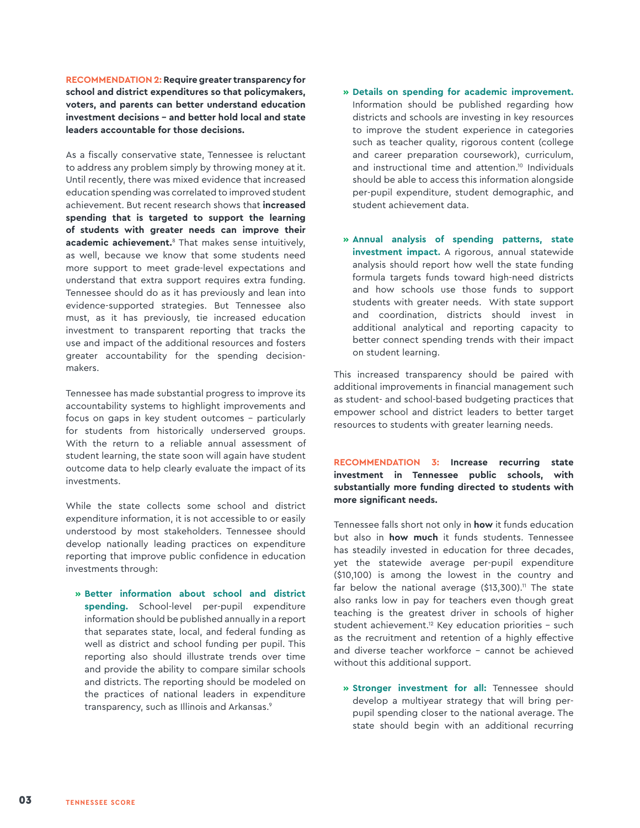**RECOMMENDATION 2: Require greater transparency for school and district expenditures so that policymakers, voters, and parents can better understand education investment decisions – and better hold local and state leaders accountable for those decisions.** 

As a fiscally conservative state, Tennessee is reluctant to address any problem simply by throwing money at it. Until recently, there was mixed evidence that increased education spending was correlated to improved student achievement. But recent research shows that **increased spending that is targeted to support the learning of students with greater needs can improve their academic achievement.**8 That makes sense intuitively, as well, because we know that some students need more support to meet grade-level expectations and understand that extra support requires extra funding. Tennessee should do as it has previously and lean into evidence-supported strategies. But Tennessee also must, as it has previously, tie increased education investment to transparent reporting that tracks the use and impact of the additional resources and fosters greater accountability for the spending decisionmakers.

Tennessee has made substantial progress to improve its accountability systems to highlight improvements and focus on gaps in key student outcomes – particularly for students from historically underserved groups. With the return to a reliable annual assessment of student learning, the state soon will again have student outcome data to help clearly evaluate the impact of its investments.

While the state collects some school and district expenditure information, it is not accessible to or easily understood by most stakeholders. Tennessee should develop nationally leading practices on expenditure reporting that improve public confidence in education investments through:

**» Better information about school and district spending.** School-level per-pupil expenditure information should be published annually in a report that separates state, local, and federal funding as well as district and school funding per pupil. This reporting also should illustrate trends over time and provide the ability to compare similar schools and districts. The reporting should be modeled on the practices of national leaders in expenditure transparency, such as Illinois and Arkansas.<sup>9</sup>

- **» Details on spending for academic improvement.** Information should be published regarding how districts and schools are investing in key resources to improve the student experience in categories such as teacher quality, rigorous content (college and career preparation coursework), curriculum, and instructional time and attention.<sup>10</sup> Individuals should be able to access this information alongside per-pupil expenditure, student demographic, and student achievement data.
- **» Annual analysis of spending patterns, state investment impact.** A rigorous, annual statewide analysis should report how well the state funding formula targets funds toward high-need districts and how schools use those funds to support students with greater needs. With state support and coordination, districts should invest in additional analytical and reporting capacity to better connect spending trends with their impact on student learning.

This increased transparency should be paired with additional improvements in financial management such as student- and school-based budgeting practices that empower school and district leaders to better target resources to students with greater learning needs.

**RECOMMENDATION 3: Increase recurring state investment in Tennessee public schools, with substantially more funding directed to students with more significant needs.**

Tennessee falls short not only in **how** it funds education but also in **how much** it funds students. Tennessee has steadily invested in education for three decades, yet the statewide average per-pupil expenditure (\$10,100) is among the lowest in the country and far below the national average  $($13,300).$ <sup>11</sup> The state also ranks low in pay for teachers even though great teaching is the greatest driver in schools of higher student achievement.<sup>12</sup> Key education priorities  $-$  such as the recruitment and retention of a highly effective and diverse teacher workforce – cannot be achieved without this additional support.

**» Stronger investment for all:** Tennessee should develop a multiyear strategy that will bring perpupil spending closer to the national average. The state should begin with an additional recurring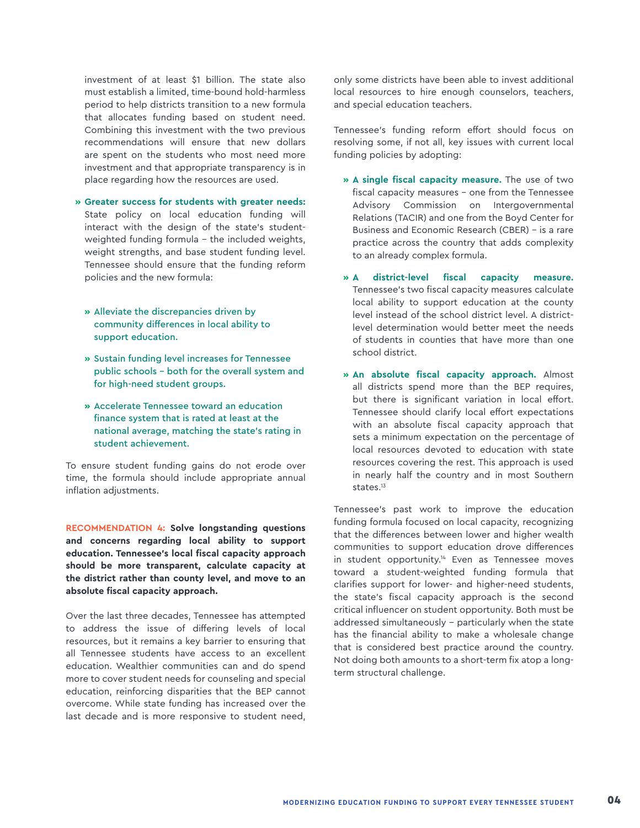investment of at least \$1 billion. The state also must establish a limited, time-bound hold-harmless period to help districts transition to a new formula that allocates funding based on student need. Combining this investment with the two previous recommendations will ensure that new dollars are spent on the students who most need more investment and that appropriate transparency is in place regarding how the resources are used.

- **» Greater success for students with greater needs:** State policy on local education funding will interact with the design of the state's studentweighted funding formula – the included weights, weight strengths, and base student funding level. Tennessee should ensure that the funding reform policies and the new formula:
	- **»** Alleviate the discrepancies driven by community differences in local ability to support education.
	- **»** Sustain funding level increases for Tennessee public schools – both for the overall system and for high-need student groups.
	- **»** Accelerate Tennessee toward an education finance system that is rated at least at the national average, matching the state's rating in student achievement.

To ensure student funding gains do not erode over time, the formula should include appropriate annual inflation adjustments.

**RECOMMENDATION 4: Solve longstanding questions and concerns regarding local ability to support education. Tennessee's local fiscal capacity approach should be more transparent, calculate capacity at the district rather than county level, and move to an absolute fiscal capacity approach.**

Over the last three decades, Tennessee has attempted to address the issue of differing levels of local resources, but it remains a key barrier to ensuring that all Tennessee students have access to an excellent education. Wealthier communities can and do spend more to cover student needs for counseling and special education, reinforcing disparities that the BEP cannot overcome. While state funding has increased over the last decade and is more responsive to student need,

only some districts have been able to invest additional local resources to hire enough counselors, teachers, and special education teachers.

Tennessee's funding reform effort should focus on resolving some, if not all, key issues with current local funding policies by adopting:

- **» A single fiscal capacity measure.** The use of two fiscal capacity measures – one from the Tennessee Advisory Commission on Intergovernmental Relations (TACIR) and one from the Boyd Center for Business and Economic Research (CBER) – is a rare practice across the country that adds complexity to an already complex formula.
- **» A district-level fiscal capacity measure.**  Tennessee's two fiscal capacity measures calculate local ability to support education at the county level instead of the school district level. A districtlevel determination would better meet the needs of students in counties that have more than one school district.
- **» An absolute fiscal capacity approach.** Almost all districts spend more than the BEP requires, but there is significant variation in local effort. Tennessee should clarify local effort expectations with an absolute fiscal capacity approach that sets a minimum expectation on the percentage of local resources devoted to education with state resources covering the rest. This approach is used in nearly half the country and in most Southern states.<sup>13</sup>

Tennessee's past work to improve the education funding formula focused on local capacity, recognizing that the differences between lower and higher wealth communities to support education drove differences in student opportunity.<sup>14</sup> Even as Tennessee moves toward a student-weighted funding formula that clarifies support for lower- and higher-need students, the state's fiscal capacity approach is the second critical influencer on student opportunity. Both must be addressed simultaneously - particularly when the state has the financial ability to make a wholesale change that is considered best practice around the country. Not doing both amounts to a short-term fix atop a longterm structural challenge.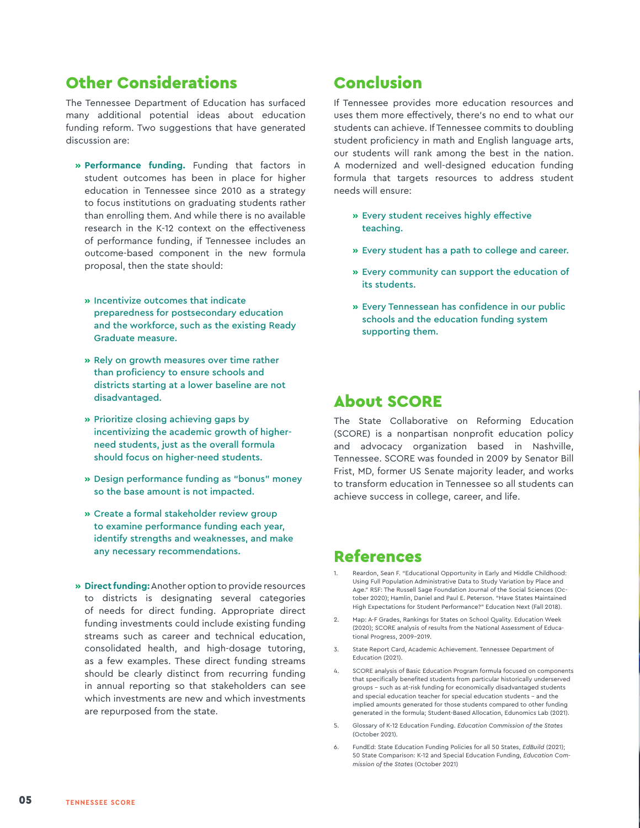## Other Considerations

The Tennessee Department of Education has surfaced many additional potential ideas about education funding reform. Two suggestions that have generated discussion are:

- **» Performance funding.** Funding that factors in student outcomes has been in place for higher education in Tennessee since 2010 as a strategy to focus institutions on graduating students rather than enrolling them. And while there is no available research in the K-12 context on the effectiveness of performance funding, if Tennessee includes an outcome-based component in the new formula proposal, then the state should:
	- **»** Incentivize outcomes that indicate preparedness for postsecondary education and the workforce, such as the existing Ready Graduate measure.
	- **»** Rely on growth measures over time rather than proficiency to ensure schools and districts starting at a lower baseline are not disadvantaged.
	- **»** Prioritize closing achieving gaps by incentivizing the academic growth of higherneed students, just as the overall formula should focus on higher-need students.
	- **»** Design performance funding as "bonus" money so the base amount is not impacted.
	- **»** Create a formal stakeholder review group to examine performance funding each year, identify strengths and weaknesses, and make any necessary recommendations.
- **» Direct funding:** Another option to provide resources to districts is designating several categories of needs for direct funding. Appropriate direct funding investments could include existing funding streams such as career and technical education, consolidated health, and high-dosage tutoring, as a few examples. These direct funding streams should be clearly distinct from recurring funding in annual reporting so that stakeholders can see which investments are new and which investments are repurposed from the state.

# Conclusion

If Tennessee provides more education resources and uses them more effectively, there's no end to what our students can achieve. If Tennessee commits to doubling student proficiency in math and English language arts, our students will rank among the best in the nation. A modernized and well-designed education funding formula that targets resources to address student needs will ensure:

- **»** Every student receives highly effective teaching.
- **»** Every student has a path to college and career.
- **»** Every community can support the education of its students.
- **»** Every Tennessean has confidence in our public schools and the education funding system supporting them.

#### About SCORE

The State Collaborative on Reforming Education (SCORE) is a nonpartisan nonprofit education policy and advocacy organization based in Nashville, Tennessee. SCORE was founded in 2009 by Senator Bill Frist, MD, former US Senate majority leader, and works to transform education in Tennessee so all students can achieve success in college, career, and life.

# References

- Reardon, Sean F. "Educational Opportunity in Early and Middle Childhood: Using Full Population Administrative Data to Study Variation by Place and Age." RSF: The Russell Sage Foundation Journal of the Social Sciences (October 2020); Hamlin, Daniel and Paul E. Peterson. "Have States Maintained High Expectations for Student Performance?" Education Next (Fall 2018).
- 2. Map: A-F Grades, Rankings for States on School Quality. Education Week (2020); SCORE analysis of results from the National Assessment of Educational Progress, 2009-2019.
- 3. State Report Card, Academic Achievement. Tennessee Department of Education (2021).
- 4. SCORE analysis of Basic Education Program formula focused on components that specifically benefited students from particular historically underserved groups – such as at-risk funding for economically disadvantaged students and special education teacher for special education students – and the implied amounts generated for those students compared to other funding generated in the formula; Student-Based Allocation, Edunomics Lab (2021).
- 5. Glossary of K-12 Education Funding. *Education Commission of the States* (October 2021).
- 6. FundEd: State Education Funding Policies for all 50 States, *EdBuild* (2021); 50 State Comparison: K-12 and Special Education Funding, *Education Commission of the States* (October 2021)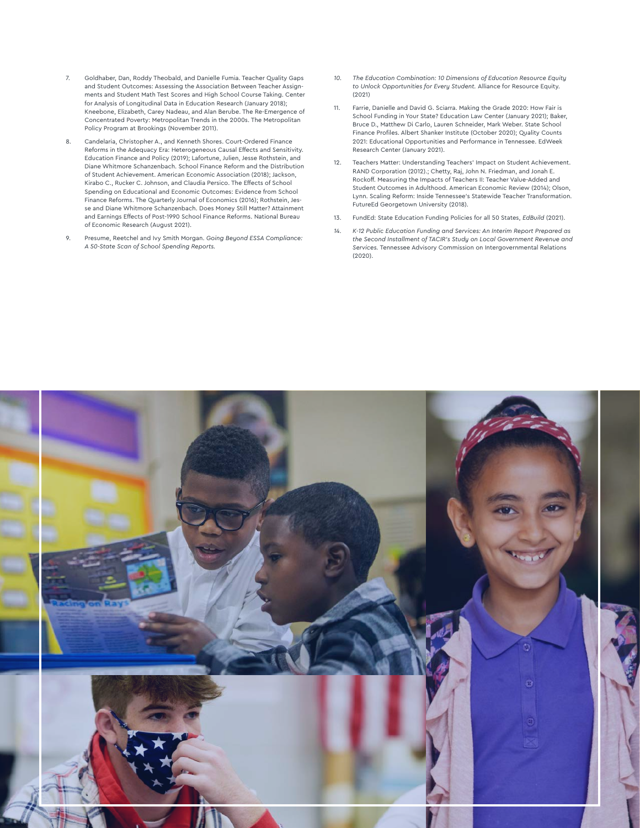- 7. Goldhaber, Dan, Roddy Theobald, and Danielle Fumia. Teacher Quality Gaps and Student Outcomes: Assessing the Association Between Teacher Assignments and Student Math Test Scores and High School Course Taking. Center for Analysis of Longitudinal Data in Education Research (January 2018); Kneebone, Elizabeth, Carey Nadeau, and Alan Berube. The Re-Emergence of Concentrated Poverty: Metropolitan Trends in the 2000s. The Metropolitan Policy Program at Brookings (November 2011).
- 8. Candelaria, Christopher A., and Kenneth Shores. Court-Ordered Finance Reforms in the Adequacy Era: Heterogeneous Causal Effects and Sensitivity. Education Finance and Policy (2019); Lafortune, Julien, Jesse Rothstein, and Diane Whitmore Schanzenbach. School Finance Reform and the Distribution of Student Achievement. American Economic Association (2018); Jackson, Kirabo C., Rucker C. Johnson, and Claudia Persico. The Effects of School Spending on Educational and Economic Outcomes: Evidence from School Finance Reforms. The Quarterly Journal of Economics (2016); Rothstein, Jesse and Diane Whitmore Schanzenbach. Does Money Still Matter? Attainment and Earnings Effects of Post-1990 School Finance Reforms. National Bureau of Economic Research (August 2021).
- 9. Presume, Reetchel and Ivy Smith Morgan. *Going Beyond ESSA Compliance: A 50-State Scan of School Spending Reports.*
- *10. The Education Combination: 10 Dimensions of Education Resource Equity to Unlock Opportunities for Every Student.* Alliance for Resource Equity. (2021)
- 11. Farrie, Danielle and David G. Sciarra. Making the Grade 2020: How Fair is School Funding in Your State? Education Law Center (January 2021); Baker, Bruce D., Matthew Di Carlo, Lauren Schneider, Mark Weber. State School Finance Profiles. Albert Shanker Institute (October 2020); Quality Counts 2021: Educational Opportunities and Performance in Tennessee. EdWeek Research Center (January 2021).
- 12. Teachers Matter: Understanding Teachers' Impact on Student Achievement. RAND Corporation (2012).; Chetty, Raj, John N. Friedman, and Jonah E. Rockoff. Measuring the Impacts of Teachers II: Teacher Value-Added and Student Outcomes in Adulthood. American Economic Review (2014); Olson, Lynn. Scaling Reform: Inside Tennessee's Statewide Teacher Transformation. FutureEd Georgetown University (2018).
- 13. FundEd: State Education Funding Policies for all 50 States, *EdBuild* (2021).
- *14. K-12 Public Education Funding and Services: An Interim Report Prepared as the Second Installment of TACIR's Study on Local Government Revenue and Services.* Tennessee Advisory Commission on Intergovernmental Relations (2020).